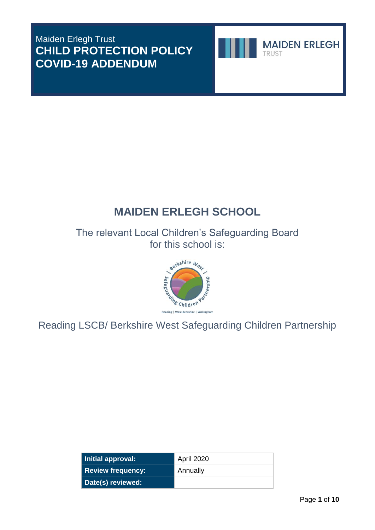## Maiden Erlegh Trust **CHILD PROTECTION POLICY COVID-19 ADDENDUM**



# **MAIDEN ERLEGH SCHOOL**

The relevant Local Children's Safeguarding Board for this school is:



Reading LSCB/ Berkshire West Safeguarding Children Partnership

| Initial approval:        | April 2020 |
|--------------------------|------------|
| <b>Review frequency:</b> | Annually   |
| Date(s) reviewed:        |            |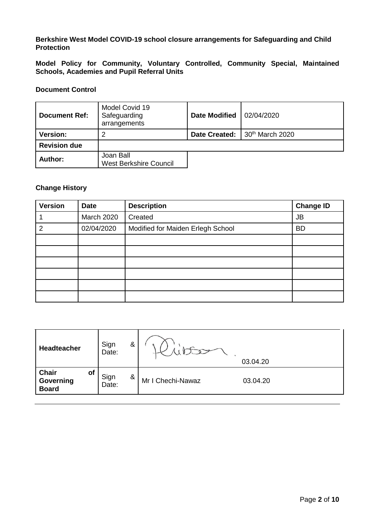## **Berkshire West Model COVID-19 school closure arrangements for Safeguarding and Child Protection**

**Model Policy for Community, Voluntary Controlled, Community Special, Maintained Schools, Academies and Pupil Referral Units**

## **Document Control**

| <b>Document Ref:</b> | Model Covid 19<br>Safeguarding<br>arrangements | <b>Date Modified</b> | 02/04/2020                    |
|----------------------|------------------------------------------------|----------------------|-------------------------------|
| <b>Version:</b><br>2 |                                                |                      | Date Created: 30th March 2020 |
| <b>Revision due</b>  |                                                |                      |                               |
| Author:              | Joan Ball<br><b>West Berkshire Council</b>     |                      |                               |

#### **Change History**

| <b>Version</b> | <b>Date</b> | <b>Description</b>                | <b>Change ID</b> |
|----------------|-------------|-----------------------------------|------------------|
|                | March 2020  | Created                           | <b>JB</b>        |
| 2              | 02/04/2020  | Modified for Maiden Erlegh School | <b>BD</b>        |
|                |             |                                   |                  |
|                |             |                                   |                  |
|                |             |                                   |                  |
|                |             |                                   |                  |
|                |             |                                   |                  |
|                |             |                                   |                  |

| <b>Headteacher</b>                              | Sign<br>Date: | & |                   | 03.04.20 |
|-------------------------------------------------|---------------|---|-------------------|----------|
| Chair<br><b>of</b><br>Governing<br><b>Board</b> | Sign<br>Date: | & | Mr I Chechi-Nawaz | 03.04.20 |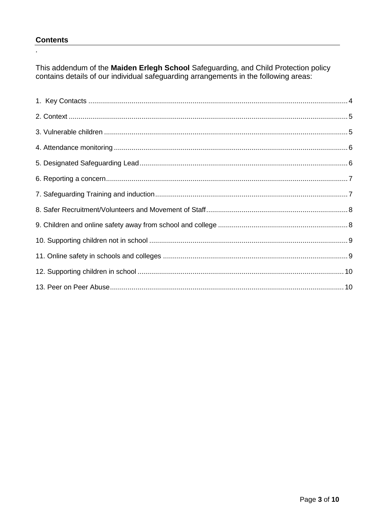## **Contents**

 $\ddot{\phantom{a}}$ 

This addendum of the Maiden Erlegh School Safeguarding, and Child Protection policy contains details of our individual safeguarding arrangements in the following areas: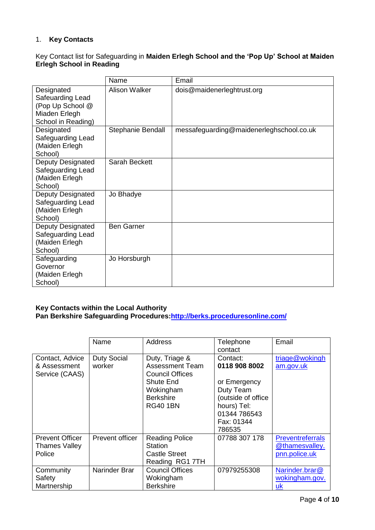## <span id="page-3-0"></span>1. **Key Contacts**

## Key Contact list for Safeguarding in **Maiden Erlegh School and the 'Pop Up' School at Maiden Erlegh School in Reading**

|                                                                                           | Name                 | Email                                    |
|-------------------------------------------------------------------------------------------|----------------------|------------------------------------------|
| Designated<br>Safeuarding Lead<br>(Pop Up School @<br>Miaden Erlegh<br>School in Reading) | <b>Alison Walker</b> | dois@maidenerleghtrust.org               |
| Designated<br>Safeguarding Lead<br>(Maiden Erlegh<br>School)                              | Stephanie Bendall    | messafeguarding@maidenerleghschool.co.uk |
| Deputy Designated<br>Safeguarding Lead<br>(Maiden Erlegh<br>School)                       | Sarah Beckett        |                                          |
| Deputy Designated<br>Safeguarding Lead<br>(Maiden Erlegh<br>School)                       | Jo Bhadye            |                                          |
| <b>Deputy Designated</b><br>Safeguarding Lead<br>(Maiden Erlegh<br>School)                | <b>Ben Garner</b>    |                                          |
| Safeguarding<br>Governor<br>(Maiden Erlegh<br>School)                                     | Jo Horsburgh         |                                          |

## **Key Contacts within the Local Authority**

**Pan Berkshire Safeguarding Procedures[:http://berks.proceduresonline.com/](http://berks.proceduresonline.com/)**

|                                                          | Name                         | Address                                                                                                                             | Telephone<br>contact                                                                                                                | Email                                                      |
|----------------------------------------------------------|------------------------------|-------------------------------------------------------------------------------------------------------------------------------------|-------------------------------------------------------------------------------------------------------------------------------------|------------------------------------------------------------|
| Contact, Advice<br>& Assessment<br>Service (CAAS)        | <b>Duty Social</b><br>worker | Duty, Triage &<br><b>Assessment Team</b><br><b>Council Offices</b><br>Shute End<br>Wokingham<br><b>Berkshire</b><br><b>RG40 1BN</b> | Contact:<br>0118 908 8002<br>or Emergency<br>Duty Team<br>(outside of office<br>hours) Tel:<br>01344 786543<br>Fax: 01344<br>786535 | triage@wokingh<br>am.gov.uk                                |
| <b>Prevent Officer</b><br><b>Thames Valley</b><br>Police | <b>Prevent officer</b>       | <b>Reading Police</b><br>Station<br><b>Castle Street</b><br>Reading RG1 7TH                                                         | 07788 307 178                                                                                                                       | <b>Preventreferrals</b><br>@thamesvalley.<br>pnn.police.uk |
| Community<br>Safety<br>Martnership                       | Narinder Brar                | <b>Council Offices</b><br>Wokingham<br><b>Berkshire</b>                                                                             | 07979255308                                                                                                                         | Narinder.brar@<br>wokingham.gov.<br>uk                     |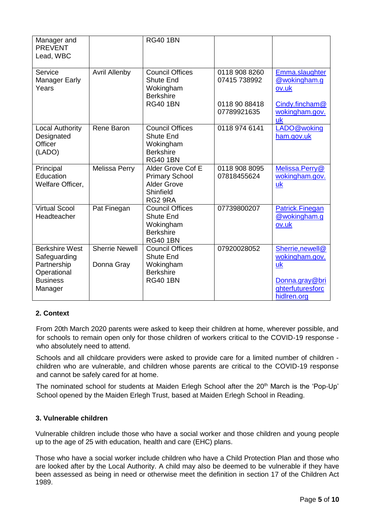| Manager and<br><b>PREVENT</b><br>Lead, WBC                                                        |                                     | <b>RG40 1BN</b>                                                                                |                                                               |                                                                                               |
|---------------------------------------------------------------------------------------------------|-------------------------------------|------------------------------------------------------------------------------------------------|---------------------------------------------------------------|-----------------------------------------------------------------------------------------------|
| Service<br><b>Manager Early</b><br>Years                                                          | <b>Avril Allenby</b>                | <b>Council Offices</b><br><b>Shute End</b><br>Wokingham<br><b>Berkshire</b><br><b>RG40 1BN</b> | 0118 908 8260<br>07415 738992<br>0118 90 88418<br>07789921635 | Emma.slaughter<br>@wokingham.g<br>ov.uk<br>Cindy.fincham@<br>wokingham.gov.<br><b>uk</b>      |
| <b>Local Authority</b><br>Designated<br>Officer<br>(LADO)                                         | Rene Baron                          | <b>Council Offices</b><br><b>Shute End</b><br>Wokingham<br><b>Berkshire</b><br><b>RG40 1BN</b> | 0118 974 6141                                                 | LADO@woking<br>ham.gov.uk                                                                     |
| Principal<br>Education<br>Welfare Officer,                                                        | Melissa Perry                       | Alder Grove Cof E<br><b>Primary School</b><br>Alder Grove<br>Shinfield<br>RG2 9RA              | 0118 908 8095<br>07818455624                                  | Melissa.Perry@<br>wokingham.gov.<br>uk                                                        |
| <b>Virtual Scool</b><br>Headteacher                                                               | Pat Finegan                         | <b>Council Offices</b><br><b>Shute End</b><br>Wokingham<br><b>Berkshire</b><br><b>RG40 1BN</b> | 07739800207                                                   | Patrick.Finegan<br>@wokingham.g<br>ov.uk                                                      |
| <b>Berkshire West</b><br>Safeguarding<br>Partnership<br>Operational<br><b>Business</b><br>Manager | <b>Sherrie Newell</b><br>Donna Gray | <b>Council Offices</b><br><b>Shute End</b><br>Wokingham<br><b>Berkshire</b><br><b>RG40 1BN</b> | 07920028052                                                   | Sherrie, newell@<br>wokingham.gov.<br>uk<br>Donna.gray@bri<br>ghterfuturesforc<br>hidlren.org |

## <span id="page-4-0"></span>**2. Context**

From 20th March 2020 parents were asked to keep their children at home, wherever possible, and for schools to remain open only for those children of workers critical to the COVID-19 response who absolutely need to attend.

Schools and all childcare providers were asked to provide care for a limited number of children children who are vulnerable, and children whose parents are critical to the COVID-19 response and cannot be safely cared for at home.

The nominated school for students at Maiden Erlegh School after the 20<sup>th</sup> March is the 'Pop-Up' School opened by the Maiden Erlegh Trust, based at Maiden Erlegh School in Reading.

## <span id="page-4-1"></span>**3. Vulnerable children**

Vulnerable children include those who have a social worker and those children and young people up to the age of 25 with education, health and care (EHC) plans.

Those who have a social worker include children who have a Child Protection Plan and those who are looked after by the Local Authority. A child may also be deemed to be vulnerable if they have been assessed as being in need or otherwise meet the definition in section 17 of the Children Act 1989.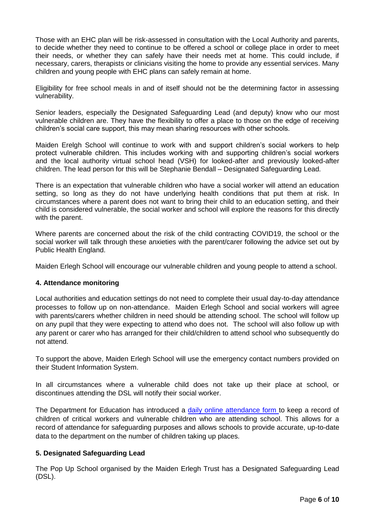Those with an EHC plan will be risk-assessed in consultation with the Local Authority and parents, to decide whether they need to continue to be offered a school or college place in order to meet their needs, or whether they can safely have their needs met at home. This could include, if necessary, carers, therapists or clinicians visiting the home to provide any essential services. Many children and young people with EHC plans can safely remain at home.

Eligibility for free school meals in and of itself should not be the determining factor in assessing vulnerability.

Senior leaders, especially the Designated Safeguarding Lead (and deputy) know who our most vulnerable children are. They have the flexibility to offer a place to those on the edge of receiving children's social care support, this may mean sharing resources with other schools.

Maiden Erelgh School will continue to work with and support children's social workers to help protect vulnerable children. This includes working with and supporting children's social workers and the local authority virtual school head (VSH) for looked-after and previously looked-after children. The lead person for this will be Stephanie Bendall – Designated Safeguarding Lead.

There is an expectation that vulnerable children who have a social worker will attend an education setting, so long as they do not have underlying health conditions that put them at risk. In circumstances where a parent does not want to bring their child to an education setting, and their child is considered vulnerable, the social worker and school will explore the reasons for this directly with the parent.

Where parents are concerned about the risk of the child contracting COVID19, the school or the social worker will talk through these anxieties with the parent/carer following the advice set out by Public Health England.

Maiden Erlegh School will encourage our vulnerable children and young people to attend a school.

## <span id="page-5-0"></span>**4. Attendance monitoring**

Local authorities and education settings do not need to complete their usual day-to-day attendance processes to follow up on non-attendance. Maiden Erlegh School and social workers will agree with parents/carers whether children in need should be attending school. The school will follow up on any pupil that they were expecting to attend who does not. The school will also follow up with any parent or carer who has arranged for their child/children to attend school who subsequently do not attend.

To support the above, Maiden Erlegh School will use the emergency contact numbers provided on their Student Information System.

In all circumstances where a vulnerable child does not take up their place at school, or discontinues attending the DSL will notify their social worker.

The Department for Education has introduced a [daily online attendance form](https://www.gov.uk/government/publications/coronavirus-covid-19-attendance-recording-for-educational-settings) to keep a record of children of critical workers and vulnerable children who are attending school. This allows for a record of attendance for safeguarding purposes and allows schools to provide accurate, up-to-date data to the department on the number of children taking up places.

#### <span id="page-5-1"></span>**5. Designated Safeguarding Lead**

The Pop Up School organised by the Maiden Erlegh Trust has a Designated Safeguarding Lead (DSL).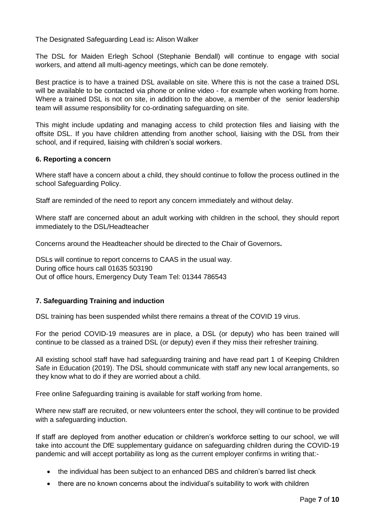The Designated Safeguarding Lead is**:** Alison Walker

The DSL for Maiden Erlegh School (Stephanie Bendall) will continue to engage with social workers, and attend all multi-agency meetings, which can be done remotely.

Best practice is to have a trained DSL available on site. Where this is not the case a trained DSL will be available to be contacted via phone or online video - for example when working from home. Where a trained DSL is not on site, in addition to the above, a member of the senior leadership team will assume responsibility for co-ordinating safeguarding on site.

This might include updating and managing access to child protection files and liaising with the offsite DSL. If you have children attending from another school, liaising with the DSL from their school, and if required, liaising with children's social workers.

## <span id="page-6-0"></span>**6. Reporting a concern**

Where staff have a concern about a child, they should continue to follow the process outlined in the school Safeguarding Policy.

Staff are reminded of the need to report any concern immediately and without delay.

Where staff are concerned about an adult working with children in the school, they should report immediately to the DSL/Headteacher

Concerns around the Headteacher should be directed to the Chair of Governors**.**

DSLs will continue to report concerns to CAAS in the usual way. During office hours call 01635 503190 Out of office hours, Emergency Duty Team Tel: 01344 786543

## <span id="page-6-1"></span>**7. Safeguarding Training and induction**

DSL training has been suspended whilst there remains a threat of the COVID 19 virus.

For the period COVID-19 measures are in place, a DSL (or deputy) who has been trained will continue to be classed as a trained DSL (or deputy) even if they miss their refresher training.

All existing school staff have had safeguarding training and have read part 1 of Keeping Children Safe in Education (2019). The DSL should communicate with staff any new local arrangements, so they know what to do if they are worried about a child.

Free online Safeguarding training is available for staff working from home.

Where new staff are recruited, or new volunteers enter the school, they will continue to be provided with a safeguarding induction.

If staff are deployed from another education or children's workforce setting to our school, we will take into account the DfE supplementary guidance on safeguarding children during the COVID-19 pandemic and will accept portability as long as the current employer confirms in writing that:-

- the individual has been subject to an enhanced DBS and children's barred list check
- there are no known concerns about the individual's suitability to work with children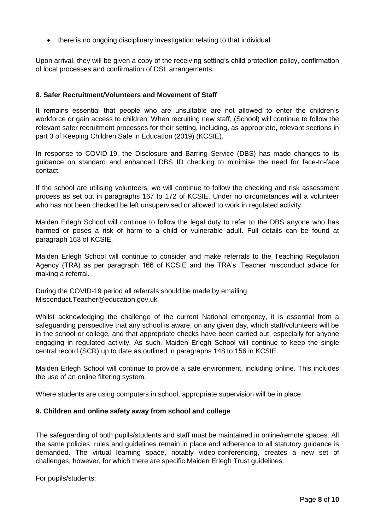there is no ongoing disciplinary investigation relating to that individual

Upon arrival, they will be given a copy of the receiving setting's child protection policy, confirmation of local processes and confirmation of DSL arrangements.

## <span id="page-7-0"></span>**8. Safer Recruitment/Volunteers and Movement of Staff**

It remains essential that people who are unsuitable are not allowed to enter the children's workforce or gain access to children. When recruiting new staff, (School) will continue to follow the relevant safer recruitment processes for their setting, including, as appropriate, relevant sections in part 3 of Keeping Children Safe in Education (2019) (KCSIE).

In response to COVID-19, the Disclosure and Barring Service (DBS) has made changes to its guidance on standard and enhanced DBS ID checking to minimise the need for face-to-face contact.

If the school are utilising volunteers, we will continue to follow the checking and risk assessment process as set out in paragraphs 167 to 172 of KCSIE. Under no circumstances will a volunteer who has not been checked be left unsupervised or allowed to work in regulated activity.

Maiden Erlegh School will continue to follow the legal duty to refer to the DBS anyone who has harmed or poses a risk of harm to a child or vulnerable adult. Full details can be found at paragraph 163 of KCSIE.

Maiden Erlegh School will continue to consider and make referrals to the Teaching Regulation Agency (TRA) as per paragraph 166 of KCSIE and the TRA's 'Teacher misconduct advice for making a referral.

During the COVID-19 period all referrals should be made by emailing [Misconduct.Teacher@education.gov.uk](mailto:Misconduct.Teacher@education.gov.uk)

Whilst acknowledging the challenge of the current National emergency, it is essential from a safeguarding perspective that any school is aware, on any given day, which staff/volunteers will be in the school or college, and that appropriate checks have been carried out, especially for anyone engaging in regulated activity. As such, Maiden Erlegh School will continue to keep the single central record (SCR) up to date as outlined in paragraphs 148 to 156 in KCSIE.

Maiden Erlegh School will continue to provide a safe environment, including online. This includes the use of an online filtering system.

Where students are using computers in school, appropriate supervision will be in place.

## <span id="page-7-1"></span>**9. Children and online safety away from school and college**

The safeguarding of both pupils/students and staff must be maintained in online/remote spaces. All the same policies, rules and guidelines remain in place and adherence to all statutory guidance is demanded. The virtual learning space, notably video-conferencing, creates a new set of challenges, however, for which there are specific Maiden Erlegh Trust guidelines.

For pupils/students: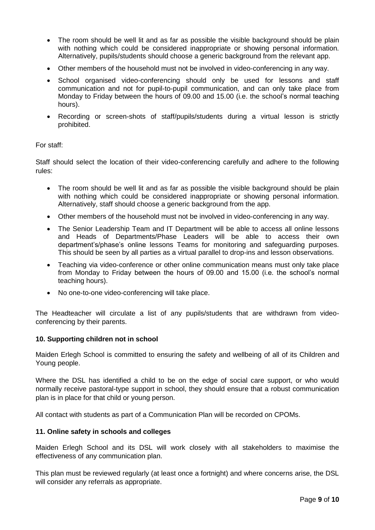- The room should be well lit and as far as possible the visible background should be plain with nothing which could be considered inappropriate or showing personal information. Alternatively, pupils/students should choose a generic background from the relevant app.
- Other members of the household must not be involved in video-conferencing in any way.
- School organised video-conferencing should only be used for lessons and staff communication and not for pupil-to-pupil communication, and can only take place from Monday to Friday between the hours of 09.00 and 15.00 (i.e. the school's normal teaching hours).
- Recording or screen-shots of staff/pupils/students during a virtual lesson is strictly prohibited.

## For staff:

Staff should select the location of their video-conferencing carefully and adhere to the following rules:

- The room should be well lit and as far as possible the visible background should be plain with nothing which could be considered inappropriate or showing personal information. Alternatively, staff should choose a generic background from the app.
- Other members of the household must not be involved in video-conferencing in any way.
- The Senior Leadership Team and IT Department will be able to access all online lessons and Heads of Departments/Phase Leaders will be able to access their own department's/phase's online lessons Teams for monitoring and safeguarding purposes. This should be seen by all parties as a virtual parallel to drop-ins and lesson observations.
- Teaching via video-conference or other online communication means must only take place from Monday to Friday between the hours of 09.00 and 15.00 (i.e. the school's normal teaching hours).
- No one-to-one video-conferencing will take place.

The Headteacher will circulate a list of any pupils/students that are withdrawn from videoconferencing by their parents.

#### <span id="page-8-0"></span>**10. Supporting children not in school**

Maiden Erlegh School is committed to ensuring the safety and wellbeing of all of its Children and Young people.

Where the DSL has identified a child to be on the edge of social care support, or who would normally receive pastoral-type support in school, they should ensure that a robust communication plan is in place for that child or young person.

All contact with students as part of a Communication Plan will be recorded on CPOMs.

#### <span id="page-8-1"></span>**11. Online safety in schools and colleges**

Maiden Erlegh School and its DSL will work closely with all stakeholders to maximise the effectiveness of any communication plan.

This plan must be reviewed regularly (at least once a fortnight) and where concerns arise, the DSL will consider any referrals as appropriate.